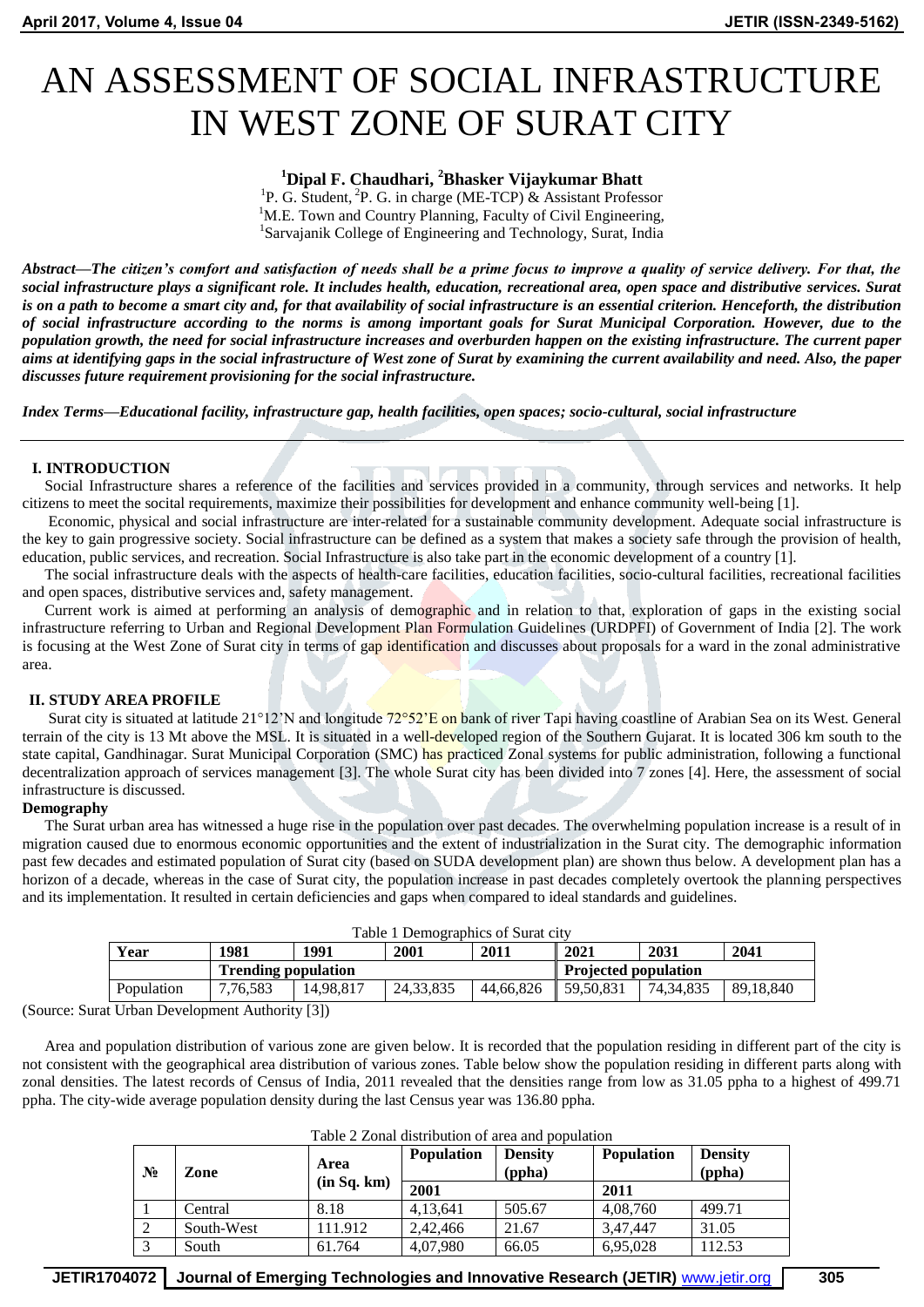# AN ASSESSMENT OF SOCIAL INFRASTRUCTURE IN WEST ZONE OF SURAT CITY

# **<sup>1</sup>Dipal F. Chaudhari, <sup>2</sup>Bhasker Vijaykumar Bhatt**

<sup>1</sup>P. G. Student, <sup>2</sup>P. G. in charge (ME-TCP) & Assistant Professor <sup>1</sup>M.E. Town and Country Planning, Faculty of Civil Engineering, 1 Sarvajanik College of Engineering and Technology, Surat, India

*Abstract—The citizen's comfort and satisfaction of needs shall be a prime focus to improve a quality of service delivery. For that, the social infrastructure plays a significant role. It includes health, education, recreational area, open space and distributive services. Surat is on a path to become a smart city and, for that availability of social infrastructure is an essential criterion. Henceforth, the distribution of social infrastructure according to the norms is among important goals for Surat Municipal Corporation. However, due to the population growth, the need for social infrastructure increases and overburden happen on the existing infrastructure. The current paper*  aims at identifying gaps in the social infrastructure of West zone of Surat by examining the current availability and need. Also, the paper *discusses future requirement provisioning for the social infrastructure.*

*Index Terms—Educational facility, infrastructure gap, health facilities, open spaces; socio-cultural, social infrastructure*

# **I. INTRODUCTION**

Social Infrastructure shares a reference of the facilities and services provided in a community, through services and networks. It help citizens to meet the socital requirements, maximize their possibilities for development and enhance community well-being [1].

Economic, physical and social infrastructure are inter-related for a sustainable community development. Adequate social infrastructure is the key to gain progressive society. Social infrastructure can be defined as a system that makes a society safe through the provision of health, education, public services, and recreation. Social Infrastructure is also take part in the economic development of a country [1].

The social infrastructure deals with the aspects of health-care facilities, education facilities, socio-cultural facilities, recreational facilities and open spaces, distributive services and, safety management.

Current work is aimed at performing an analysis of demographic and in relation to that, exploration of gaps in the existing social infrastructure referring to Urban and Regional Development Plan Formulation Guidelines (URDPFI) of Government of India [2]. The work is focusing at the West Zone of Surat city in terms of gap identification and discusses about proposals for a ward in the zonal administrative area.

# **II. STUDY AREA PROFILE**

Surat city is situated at latitude 21°12'N and longitude 72°52'E on bank of river Tapi having coastline of Arabian Sea on its West. General terrain of the city is 13 Mt above the MSL. It is situated in a well-developed region of the Southern Gujarat. It is located 306 km south to the state capital, Gandhinagar. Surat Municipal Corporation (SMC) has practiced Zonal systems for public administration, following a functional decentralization approach of services management [3]. The whole Surat city has been divided into 7 zones [4]. Here, the assessment of social infrastructure is discussed.

# **Demography**

The Surat urban area has witnessed a huge rise in the population over past decades. The overwhelming population increase is a result of in migration caused due to enormous economic opportunities and the extent of industrialization in the Surat city. The demographic information past few decades and estimated population of Surat city (based on SUDA development plan) are shown thus below. A development plan has a horizon of a decade, whereas in the case of Surat city, the population increase in past decades completely overtook the planning perspectives and its implementation. It resulted in certain deficiencies and gaps when compared to ideal standards and guidelines.

| Table 1 Demographics of Surat city |                            |           |           |                             |           |           |           |
|------------------------------------|----------------------------|-----------|-----------|-----------------------------|-----------|-----------|-----------|
| Year                               | 1981                       | 1991      | 2001      | 2011                        | 2021      | 2031      | 2041      |
|                                    | <b>Trending population</b> |           |           | <b>Projected population</b> |           |           |           |
| Population                         | 7.76.583                   | 14.98.817 | 24.33.835 | 44.66.826                   | 59.50.831 | 74.34.835 | 89.18.840 |
| $\mathbf{v}$                       |                            |           |           |                             |           |           |           |

(Source: Surat Urban Development Authority [3])

Area and population distribution of various zone are given below. It is recorded that the population residing in different part of the city is not consistent with the geographical area distribution of various zones. Table below show the population residing in different parts along with zonal densities. The latest records of Census of India, 2011 revealed that the densities range from low as 31.05 ppha to a highest of 499.71 ppha. The city-wide average population density during the last Census year was 136.80 ppha.

| $N_2$ | Zone       | Area        | <b>Population</b> | Densitv<br>(ppha) | <b>Population</b> | <b>Density</b><br>(ppha) |
|-------|------------|-------------|-------------------|-------------------|-------------------|--------------------------|
|       |            | (in Sq. km) | 2001              |                   | 2011              |                          |
|       | Central    | 8.18        | 4,13,641          | 505.67            | 4,08,760          | 499.71                   |
|       | South-West | 111.912     | 2,42,466          | 21.67             | 3,47,447          | 31.05                    |
|       | South      | 61.764      | 4,07,980          | 66.05             | 6,95,028          | 112.53                   |

**JETIR1704072 Journal of Emerging Technologies and Innovative Research (JETIR)** www.jetir.org **305**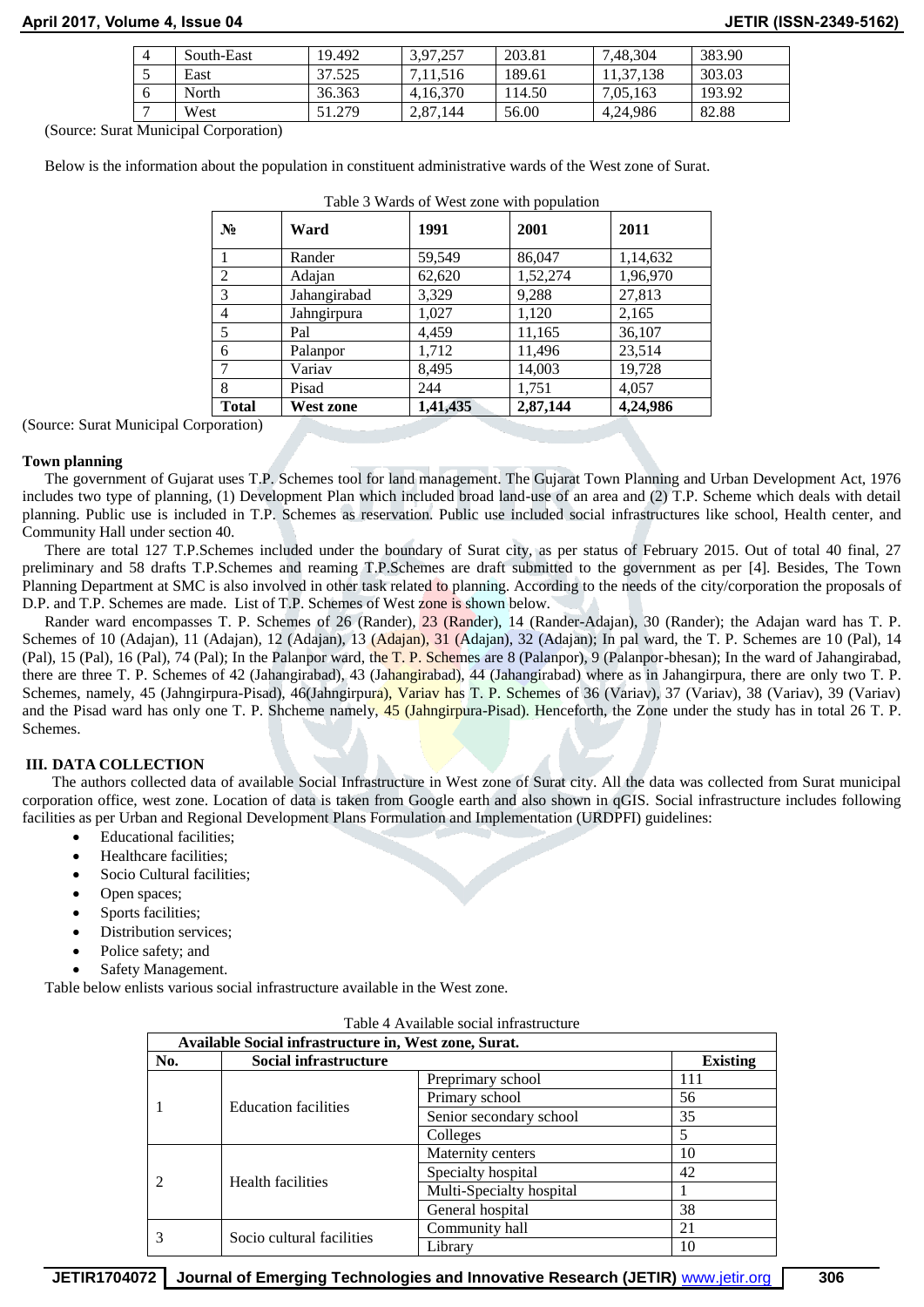# **April 2017, Volume 4, Issue 04 JETIR (ISSN-2349-5162)**

| $\overline{4}$ | South-East | 19.492 | 3.97.257 | 203.81 | 7.48.304 | 383.90 |
|----------------|------------|--------|----------|--------|----------|--------|
|                | East       | 37.525 | 11.516   | 189.61 | .138     | 303.03 |
| O              | North      | 36.363 | 4.16.370 | 114.50 | 7.05.163 | 193.92 |
|                | West       | 1.279  | 2,87,144 | 56.00  | 4.24.986 | 82.88  |

(Source: Surat Municipal Corporation)

Below is the information about the population in constituent administrative wards of the West zone of Surat.

| $N_2$        | Ward         | 1991     | 2001     | 2011     |
|--------------|--------------|----------|----------|----------|
|              | Rander       | 59,549   | 86,047   | 1,14,632 |
| 2            | Adajan       | 62,620   | 1,52,274 | 1,96,970 |
| 3            | Jahangirabad | 3,329    | 9,288    | 27,813   |
| 4            | Jahngirpura  | 1,027    | 1,120    | 2,165    |
| 5            | Pal          | 4,459    | 11,165   | 36,107   |
| 6            | Palanpor     | 1,712    | 11,496   | 23,514   |
| 7            | Variav       | 8,495    | 14,003   | 19,728   |
| 8            | Pisad        | 244      | 1,751    | 4,057    |
| <b>Total</b> | West zone    | 1,41,435 | 2,87,144 | 4,24,986 |

Table 3 Wards of West zone with population

(Source: Surat Municipal Corporation)

# **Town planning**

The government of Gujarat uses T.P. Schemes tool for land management. The Gujarat Town Planning and Urban Development Act, 1976 includes two type of planning, (1) Development Plan which included broad land-use of an area and (2) T.P. Scheme which deals with detail planning. Public use is included in T.P. Schemes as reservation. Public use included social infrastructures like school, Health center, and Community Hall under section 40.

There are total 127 T.P.Schemes included under the boundary of Surat city, as per status of February 2015. Out of total 40 final, 27 preliminary and 58 drafts T.P.Schemes and reaming T.P.Schemes are draft submitted to the government as per [4]. Besides, The Town Planning Department at SMC is also involved in other task related to planning. According to the needs of the city/corporation the proposals of D.P. and T.P. Schemes are made. List of T.P. Schemes of West zone is shown below.

Rander ward encompasses T. P. Schemes of 26 (Rander), 23 (Rander), 14 (Rander-Adajan), 30 (Rander); the Adajan ward has T. P. Schemes of 10 (Adajan), 11 (Adajan), 12 (Adajan), 13 (Adajan), 31 (Adajan), 32 (Adajan); In pal ward, the T. P. Schemes are 10 (Pal), 14 (Pal), 15 (Pal), 16 (Pal), 74 (Pal); In the Palanpor ward, the T. P. Schemes are 8 (Palanpor), 9 (Palanpor-bhesan); In the ward of Jahangirabad, there are three T. P. Schemes of 42 (Jahangirabad), 43 (Jahangirabad), 44 (Jahangirabad) where as in Jahangirpura, there are only two T. P. Schemes, namely, 45 (Jahngirpura-Pisad), 46(Jahngirpura), Variav has T. P. Schemes of 36 (Variav), 37 (Variav), 38 (Variav), 39 (Variav) and the Pisad ward has only one T. P. Shcheme namely, 45 (Jahngirpura-Pisad). Henceforth, the Zone under the study has in total 26 T. P. Schemes.

# **III. DATA COLLECTION**

 The authors collected data of available Social Infrastructure in West zone of Surat city. All the data was collected from Surat municipal corporation office, west zone. Location of data is taken from Google earth and also shown in qGIS. Social infrastructure includes following facilities as per Urban and Regional Development Plans Formulation and Implementation (URDPFI) guidelines:

- Educational facilities:
- Healthcare facilities;
- Socio Cultural facilities;
- Open spaces;
- Sports facilities;
- Distribution services;
- Police safety; and
- Safety Management.

Table below enlists various social infrastructure available in the West zone.

|     | Table 4 Available social illitastitudulle             |                          |                 |  |  |  |
|-----|-------------------------------------------------------|--------------------------|-----------------|--|--|--|
|     | Available Social infrastructure in, West zone, Surat. |                          |                 |  |  |  |
| No. | Social infrastructure                                 |                          | <b>Existing</b> |  |  |  |
|     |                                                       | Preprimary school        | 111             |  |  |  |
|     | <b>Education facilities</b>                           | Primary school           | 56              |  |  |  |
|     |                                                       | Senior secondary school  | 35              |  |  |  |
|     |                                                       | Colleges                 | 5               |  |  |  |
|     |                                                       | Maternity centers        | 10              |  |  |  |
|     | <b>Health facilities</b>                              | Specialty hospital       | 42              |  |  |  |
|     |                                                       | Multi-Specialty hospital |                 |  |  |  |
|     |                                                       | General hospital         | 38              |  |  |  |
| 3   | Socio cultural facilities                             | Community hall           | 21              |  |  |  |
|     |                                                       | Library                  | 10              |  |  |  |

|  | Table 4 Available social infrastructure |
|--|-----------------------------------------|
|--|-----------------------------------------|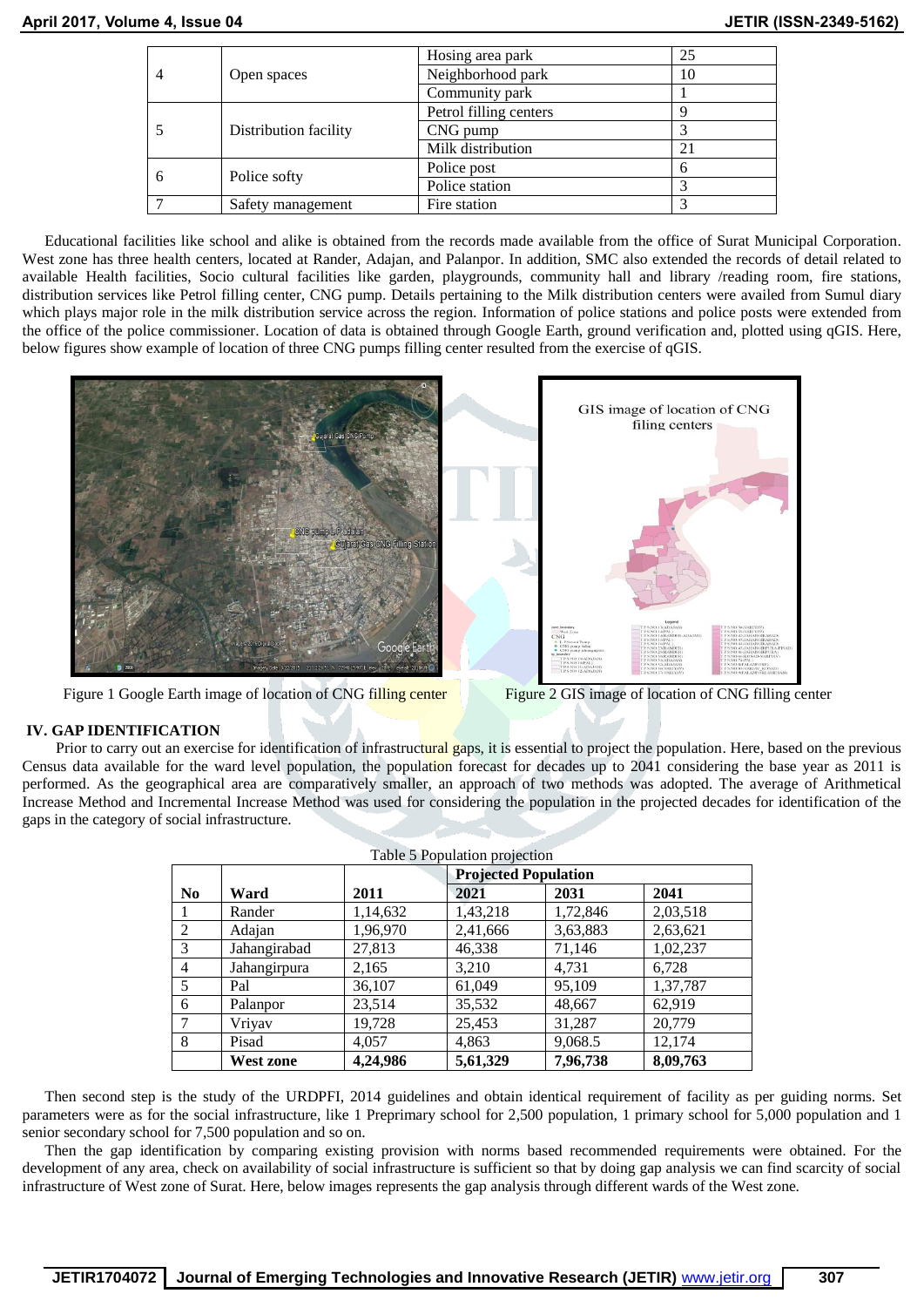| 4 |                       | Hosing area park       | 25 |
|---|-----------------------|------------------------|----|
|   | Open spaces           | Neighborhood park      | 10 |
|   |                       | Community park         |    |
|   |                       | Petrol filling centers |    |
|   | Distribution facility | CNG pump               |    |
|   |                       | Milk distribution      | 21 |
|   |                       | Police post            |    |
|   | Police softy          | Police station         |    |
|   | Safety management     | Fire station           |    |

Educational facilities like school and alike is obtained from the records made available from the office of Surat Municipal Corporation. West zone has three health centers, located at Rander, Adajan, and Palanpor. In addition, SMC also extended the records of detail related to available Health facilities, Socio cultural facilities like garden, playgrounds, community hall and library /reading room, fire stations, distribution services like Petrol filling center, CNG pump. Details pertaining to the Milk distribution centers were availed from Sumul diary which plays major role in the milk distribution service across the region. Information of police stations and police posts were extended from the office of the police commissioner. Location of data is obtained through Google Earth, ground verification and, plotted using qGIS. Here, below figures show example of location of three CNG pumps filling center resulted from the exercise of qGIS.



Figure 1 Google Earth image of location of CNG filling center Figure 2 GIS image of location of CNG filling center

# **IV. GAP IDENTIFICATION**

Prior to carry out an exercise for identification of infrastructural gaps, it is essential to project the population. Here, based on the previous Census data available for the ward level population, the population forecast for decades up to 2041 considering the base year as 2011 is performed. As the geographical area are comparatively smaller, an approach of two methods was adopted. The average of Arithmetical Increase Method and Incremental Increase Method was used for considering the population in the projected decades for identification of the gaps in the category of social infrastructure.

|                |                  |          | Table 5 Population projection | <b>Projected Population</b> |          |  |  |
|----------------|------------------|----------|-------------------------------|-----------------------------|----------|--|--|
| N <sub>0</sub> | Ward             | 2011     | 2021                          | 2031                        | 2041     |  |  |
| 1              | Rander           | 1,14,632 | 1,43,218                      | 1,72,846                    | 2,03,518 |  |  |
| 2              | Adajan           | 1,96,970 | 2,41,666                      | 3,63,883                    | 2,63,621 |  |  |
| 3              | Jahangirabad     | 27,813   | 46,338                        | 71,146                      | 1,02,237 |  |  |
| 4              | Jahangirpura     | 2,165    | 3,210                         | 4.731                       | 6,728    |  |  |
| 5              | Pal              | 36,107   | 61,049                        | 95,109                      | 1,37,787 |  |  |
| 6              | Palanpor         | 23,514   | 35,532                        | 48,667                      | 62,919   |  |  |
| 7              | Vriyav           | 19,728   | 25,453                        | 31,287                      | 20,779   |  |  |
| 8              | Pisad            | 4,057    | 4,863                         | 9,068.5                     | 12,174   |  |  |
|                | <b>West zone</b> | 4,24,986 | 5,61,329                      | 7,96,738                    | 8,09,763 |  |  |

Then second step is the study of the URDPFI, 2014 guidelines and obtain identical requirement of facility as per guiding norms. Set parameters were as for the social infrastructure, like 1 Preprimary school for 2,500 population, 1 primary school for 5,000 population and 1 senior secondary school for 7,500 population and so on.

Then the gap identification by comparing existing provision with norms based recommended requirements were obtained. For the development of any area, check on availability of social infrastructure is sufficient so that by doing gap analysis we can find scarcity of social infrastructure of West zone of Surat. Here, below images represents the gap analysis through different wards of the West zone.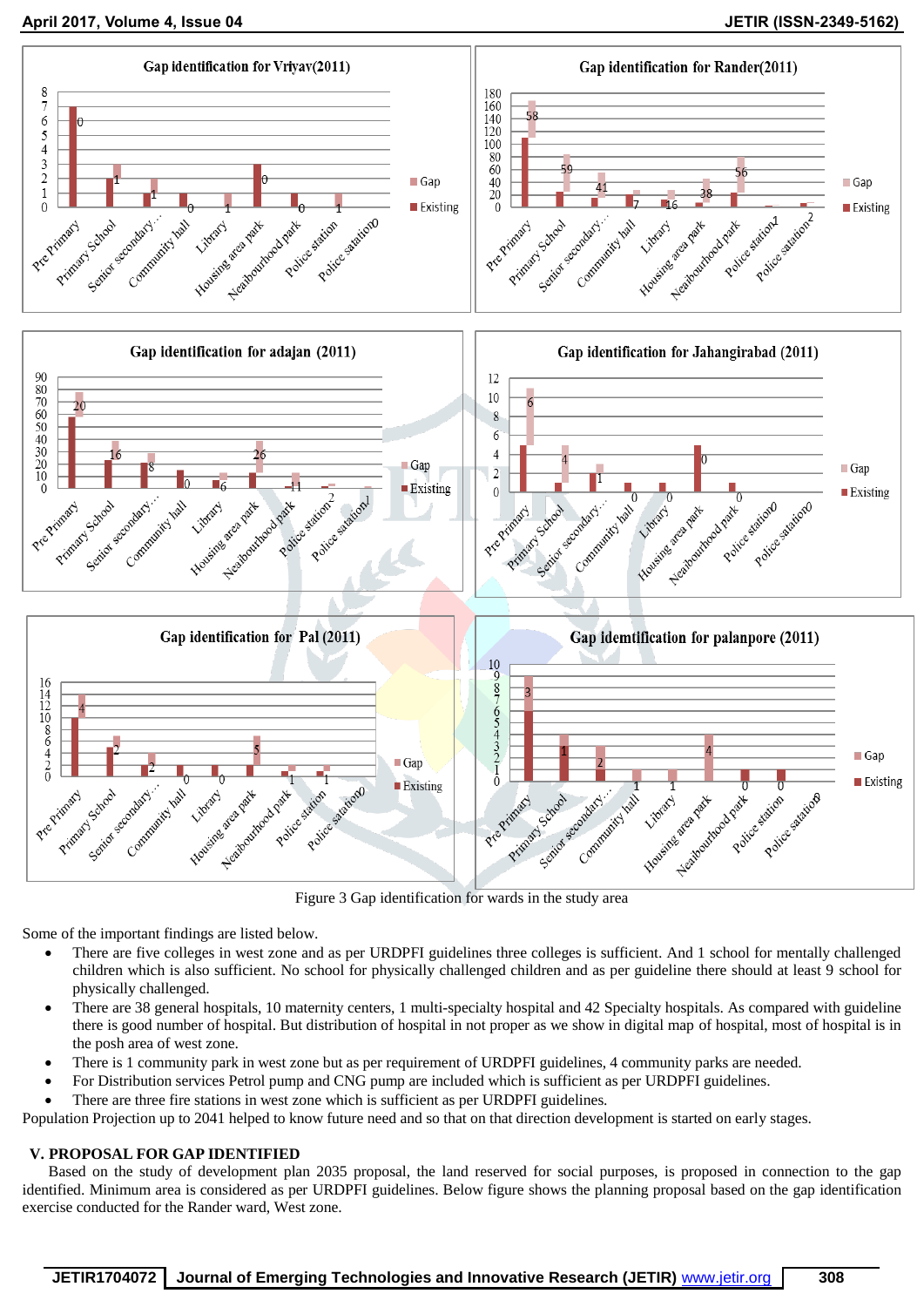**April 2017, Volume 4, Issue 04 JETIR (ISSN-2349-5162)**



Figure 3 Gap identification for wards in the study area

Some of the important findings are listed below.

- There are five colleges in west zone and as per URDPFI guidelines three colleges is sufficient. And 1 school for mentally challenged children which is also sufficient. No school for physically challenged children and as per guideline there should at least 9 school for physically challenged.
- There are 38 general hospitals, 10 maternity centers, 1 multi-specialty hospital and 42 Specialty hospitals. As compared with guideline there is good number of hospital. But distribution of hospital in not proper as we show in digital map of hospital, most of hospital is in the posh area of west zone.
- There is 1 community park in west zone but as per requirement of URDPFI guidelines, 4 community parks are needed.
- For Distribution services Petrol pump and CNG pump are included which is sufficient as per URDPFI guidelines.
- There are three fire stations in west zone which is sufficient as per URDPFI guidelines.

Population Projection up to 2041 helped to know future need and so that on that direction development is started on early stages.

# **V. PROPOSAL FOR GAP IDENTIFIED**

Based on the study of development plan 2035 proposal, the land reserved for social purposes, is proposed in connection to the gap identified. Minimum area is considered as per URDPFI guidelines. Below figure shows the planning proposal based on the gap identification exercise conducted for the Rander ward, West zone.